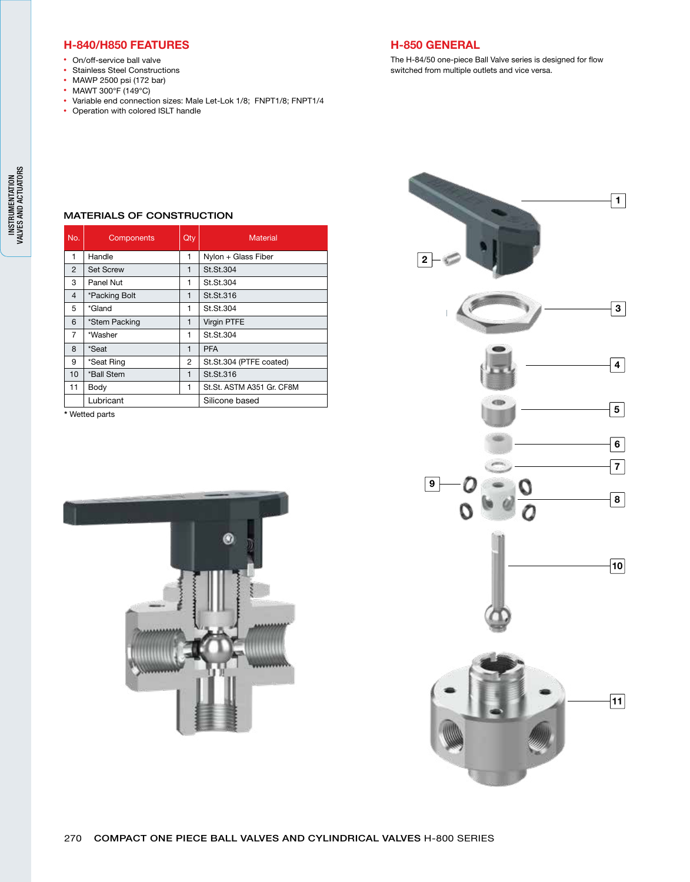### H-840/H850 FEATURES

- On/off-service ball valve
- Stainless Steel Constructions
- MAWP 2500 psi (172 bar)
- MAWT 300°F (149°C)
- Variable end connection sizes: Male Let-Lok 1/8; FNPT1/8; FNPT1/4
- Operation with colored ISLT handle

## H-850 GENERAL

The H-84/50 one-piece Ball Valve series is designed for flow switched from multiple outlets and vice versa.

| <b>MATERIALS OF CONSTRUCTION</b> |  |  |
|----------------------------------|--|--|
|                                  |  |  |

| No.            | <b>Components</b> | Qty          | <b>Material</b>           |
|----------------|-------------------|--------------|---------------------------|
| 1              | Handle            | 1            | Nylon + Glass Fiber       |
| $\overline{2}$ | <b>Set Screw</b>  | 1            | St.St.304                 |
| 3              | Panel Nut         | 1            | St.St.304                 |
| $\overline{4}$ | *Packing Bolt     | $\mathbf{1}$ | St.St.316                 |
| 5              | *Gland            | 1            | St.St.304                 |
| 6              | *Stem Packing     | 1            | <b>Virgin PTFE</b>        |
| 7              | *Washer           | 1            | St.St.304                 |
| 8              | *Seat             | $\mathbf{1}$ | <b>PFA</b>                |
| 9              | *Seat Ring        | 2            | St.St.304 (PTFE coated)   |
| 10             | *Ball Stem        | 1            | St.St.316                 |
| 11             | Body              | 1            | St.St. ASTM A351 Gr. CF8M |
|                | Lubricant         |              | Silicone based            |

\* Wetted parts



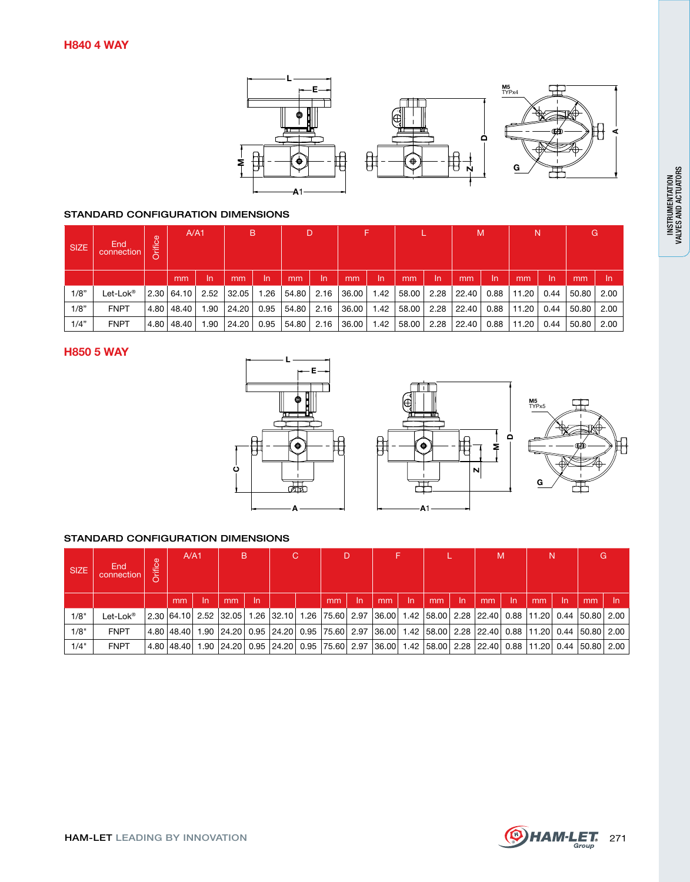

#### STANDARD CONFIGURATION DIMENSIONS

| <b>SIZE</b> | End<br>connection      | Orifice | A/A1         |      | B                     |          | D                   |      | 15    |      |       |      | M     |      | N     |      | G     |      |
|-------------|------------------------|---------|--------------|------|-----------------------|----------|---------------------|------|-------|------|-------|------|-------|------|-------|------|-------|------|
|             |                        |         | mm           | In   | mm                    | ln.      | mm                  | -In  | mm    | -In  | mm    | ln.  | mm    | -In  | mm    | -In  | mm    | -In  |
| 1/8"        | Let-Lok $^\circledast$ |         |              |      | 2.30 64.10 2.52 32.05 |          | 1.26   54.80   2.16 |      | 36.00 | 1.42 | 58.00 | 2.28 | 22.40 | 0.88 | 11.20 | 0.44 | 50.80 | 2.00 |
| 1/8"        | <b>FNPT</b>            |         | 4.80   48.40 | 1.90 | 24.20                 | $0.95$ 1 | 54.80               | 2.16 | 36.00 | 1.42 | 58.00 | 2.28 | 22.40 | 0.88 | 11.20 | 0.44 | 50.80 | 2.00 |
| 1/4"        | <b>FNPT</b>            |         | 4.80   48.40 | 1.90 | 24.20                 | 0.95     | 54.80               | 2.16 | 36.00 | 1.42 | 58.00 | 2.28 | 22.40 | 0.88 | 11.20 | 0.44 | 50.80 | 2.00 |

### H850 5 WAY



#### STANDARD CONFIGURATION DIMENSIONS

| <b>SIZE</b> | End<br>connection | Orifice | A/A1 |     | <b>B</b> |    | C.                                                                                                         |  | D  |     |    |     |     |     | M  |     | N  |     | G  |      |
|-------------|-------------------|---------|------|-----|----------|----|------------------------------------------------------------------------------------------------------------|--|----|-----|----|-----|-----|-----|----|-----|----|-----|----|------|
|             |                   |         | mm   | -In | mm       | In |                                                                                                            |  | mm | In. | mm | -In | mm' | -In | mm | -In | mm | -In | mm | - In |
| 1/8"        | Let-Lok®          |         |      |     |          |    | 2.00 64.10 2.52 32.05 1.26 32.10 1.26 75.60 2.97 36.00 1.42 58.00 2.28 22.40 0.88 11.20 0.44 50.80 2.00 ال |  |    |     |    |     |     |     |    |     |    |     |    |      |
| 1/8"        | <b>FNPT</b>       |         |      |     |          |    | 4.80 48.40 1.90 24.20 0.95 24.20 0.95 75.60 2.97 36.00 1.42 58.00 2.28 22.40 0.88 11.20 0.44 50.80 2.00    |  |    |     |    |     |     |     |    |     |    |     |    |      |
| 1/4"        | <b>FNPT</b>       |         |      |     |          |    | 4.80 48.40 1.90 24.20 0.95 24.20 0.95 75.60 2.97 36.00 1.42 58.00 2.28 22.40 0.88 11.20 0.44 50.80 2.00    |  |    |     |    |     |     |     |    |     |    |     |    |      |